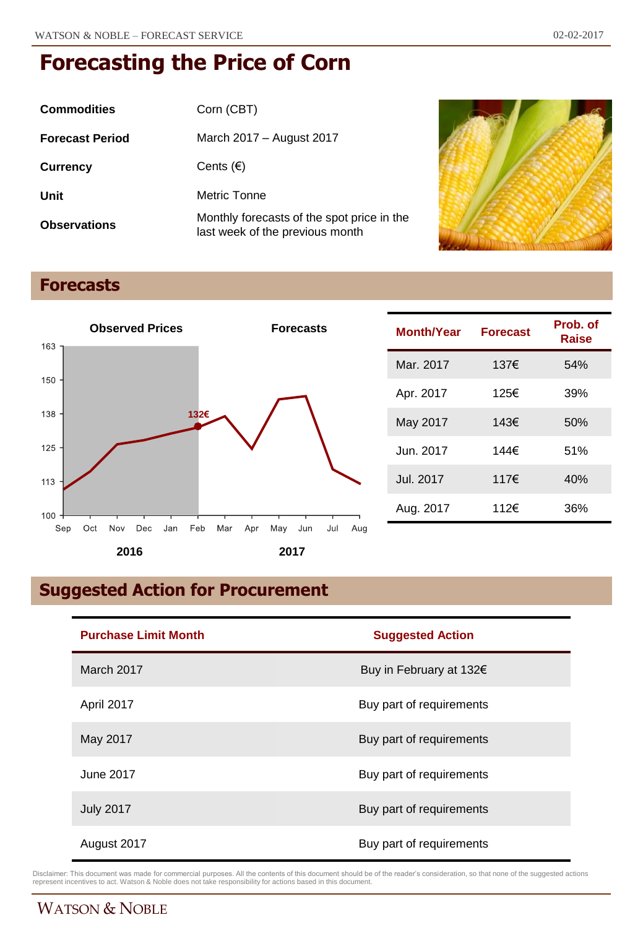| <b>Commodities</b>     | Corn (CBT)                                                                    |
|------------------------|-------------------------------------------------------------------------------|
| <b>Forecast Period</b> | March 2017 - August 2017                                                      |
| <b>Currency</b>        | Cents $(\epsilon)$                                                            |
| Unit                   | Metric Tonne                                                                  |
| <b>Observations</b>    | Monthly forecasts of the spot price in the<br>last week of the previous month |



## **Forecasts**



| <b>Month/Year</b> | <b>Forecast</b> | Prob. of<br>Raise |
|-------------------|-----------------|-------------------|
| Mar. 2017         | 137€            | 54%               |
| Apr. 2017         | 125€            | 39%               |
| May 2017          | 143€            | 50%               |
| Jun. 2017         | 144€            | 51%               |
| Jul. 2017         | 117€            | 40%               |
| Aug. 2017         | 112€            | 36%               |

# **Suggested Action for Procurement**

| <b>Purchase Limit Month</b> | <b>Suggested Action</b>  |  |
|-----------------------------|--------------------------|--|
| March 2017                  | Buy in February at 132€  |  |
| April 2017                  | Buy part of requirements |  |
| May 2017                    | Buy part of requirements |  |
| June 2017                   | Buy part of requirements |  |
| <b>July 2017</b>            | Buy part of requirements |  |
| August 2017                 | Buy part of requirements |  |

Disclaimer: This document was made for commercial purposes. All the contents of this document should be of the reader's consideration, so that none of the suggested actions<br>represent incentives to act. Watson & Noble does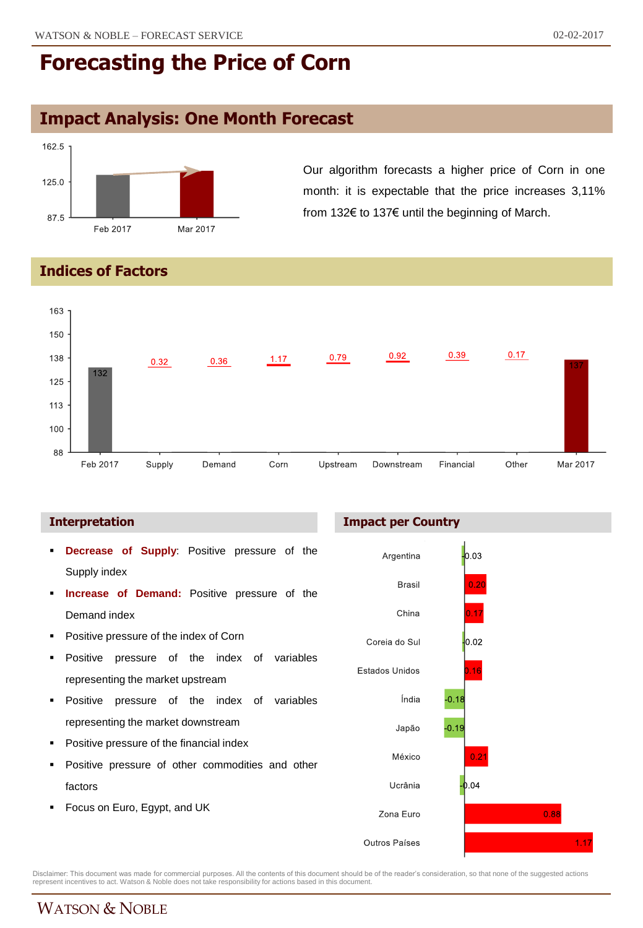## **Impact Analysis: One Month Forecast**



Our algorithm forecasts a higher price of Corn in one month: it is expectable that the price increases 3,11% from 132€ to 137€ until the beginning of March.

#### **Indices of Factors**



#### **Interpretation**

- **Decrease of Supply**: Positive pressure of the Supply index
- **Increase of Demand:** Positive pressure of the Demand index
- Positive pressure of the index of Corn
- Positive pressure of the index of variables representing the market upstream
- **Positive pressure of the index of variables** representing the market downstream
- Positive pressure of the financial index
- Positive pressure of other commodities and other factors
- Focus on Euro, Egypt, and UK

**Impact per Country**



Disclaimer: This document was made for commercial purposes. All the contents of this document should be of the reader's consideration, so that none of the suggested actions<br>represent incentives to act. Watson & Noble does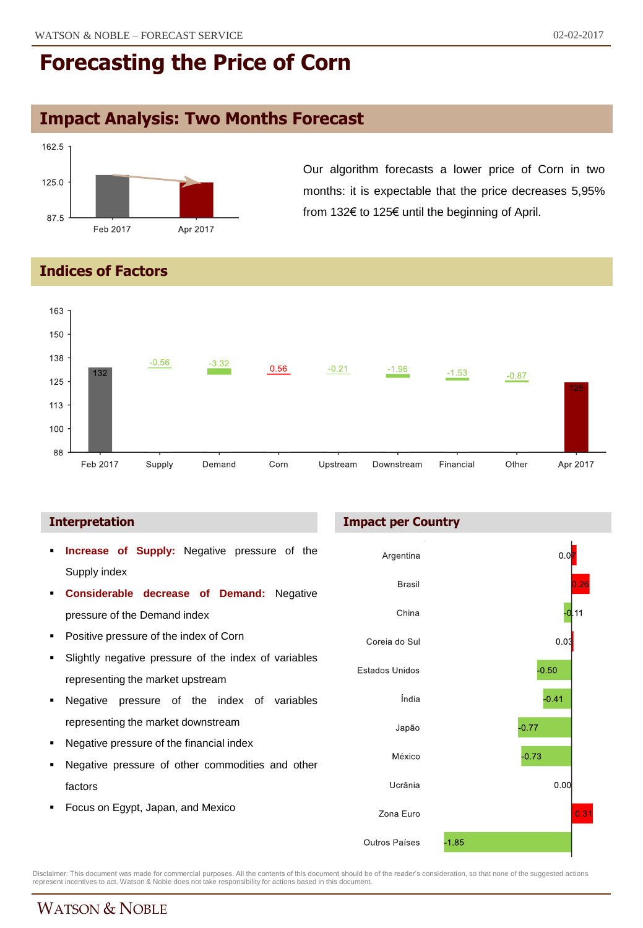## **Impact Analysis: Two Months Forecast**



Our algorithm forecasts a lower price of Corn in two months: it is expectable that the price decreases 5,95% from 132€ to 125€ until the beginning of April.

### **Indices of Factors**



- **Increase of Supply:** Negative pressure of the Supply index
- **Considerable decrease of Demand:** Negative pressure of the Demand index
- **Positive pressure of the index of Corn**
- Slightly negative pressure of the index of variables representing the market upstream
- Negative pressure of the index of variables representing the market downstream
- Negative pressure of the financial index
- Negative pressure of other commodities and other factors
- Focus on Egypt, Japan, and Mexico

#### **Interpretation Impact per Country**



Disclaimer: This document was made for commercial purposes. All the contents of this document should be of the reader's consideration, so that none of the suggested actions<br>represent incentives to act. Watson & Noble does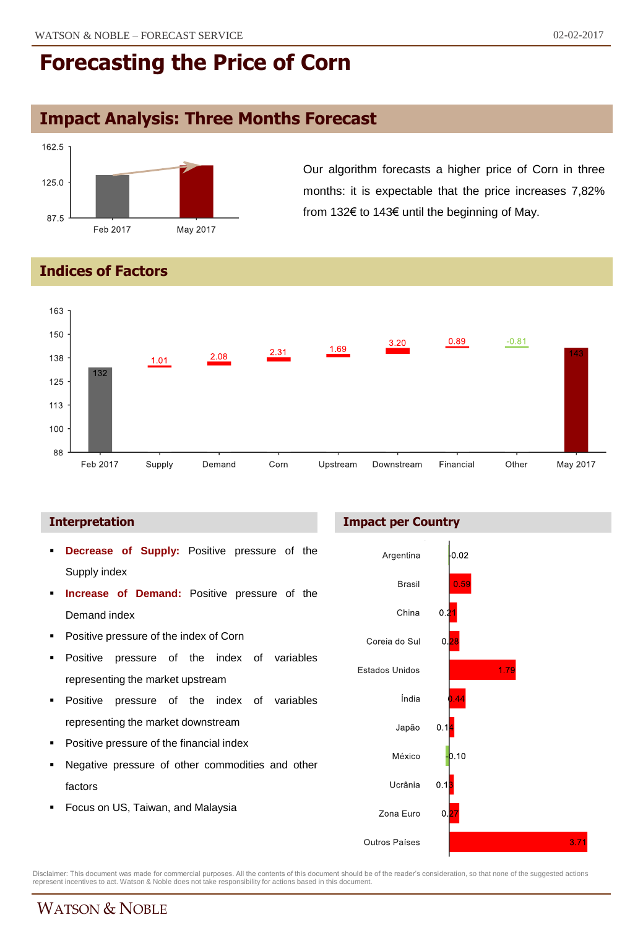## **Impact Analysis: Three Months Forecast**



Our algorithm forecasts a higher price of Corn in three months: it is expectable that the price increases 7,82% from 132€ to 143€ until the beginning of May.

#### **Indices of Factors**



- **Decrease of Supply:** Positive pressure of the Supply index
- **Increase of Demand:** Positive pressure of the Demand index
- Positive pressure of the index of Corn
- Positive pressure of the index of variables representing the market upstream
- **Positive pressure of the index of variables** representing the market downstream
- Positive pressure of the financial index
- Negative pressure of other commodities and other factors
- Focus on US, Taiwan, and Malaysia

#### **Interpretation Impact per Country**



Disclaimer: This document was made for commercial purposes. All the contents of this document should be of the reader's consideration, so that none of the suggested actions<br>represent incentives to act. Watson & Noble does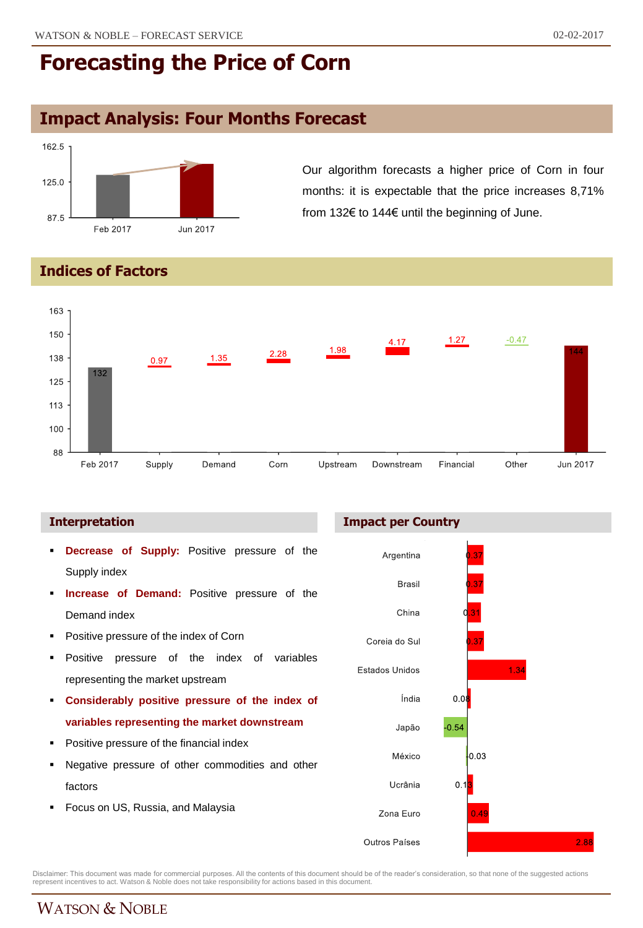## **Impact Analysis: Four Months Forecast**



Our algorithm forecasts a higher price of Corn in four months: it is expectable that the price increases 8,71% from 132€ to 144€ until the beginning of June.

#### **Indices of Factors**



- **Decrease of Supply:** Positive pressure of the Supply index
- **Increase of Demand:** Positive pressure of the Demand index
- Positive pressure of the index of Corn
- Positive pressure of the index of variables representing the market upstream
- **Considerably positive pressure of the index of variables representing the market downstream**
- Positive pressure of the financial index
- Negative pressure of other commodities and other factors
- Focus on US, Russia, and Malaysia





Disclaimer: This document was made for commercial purposes. All the contents of this document should be of the reader's consideration, so that none of the suggested actions<br>represent incentives to act. Watson & Noble does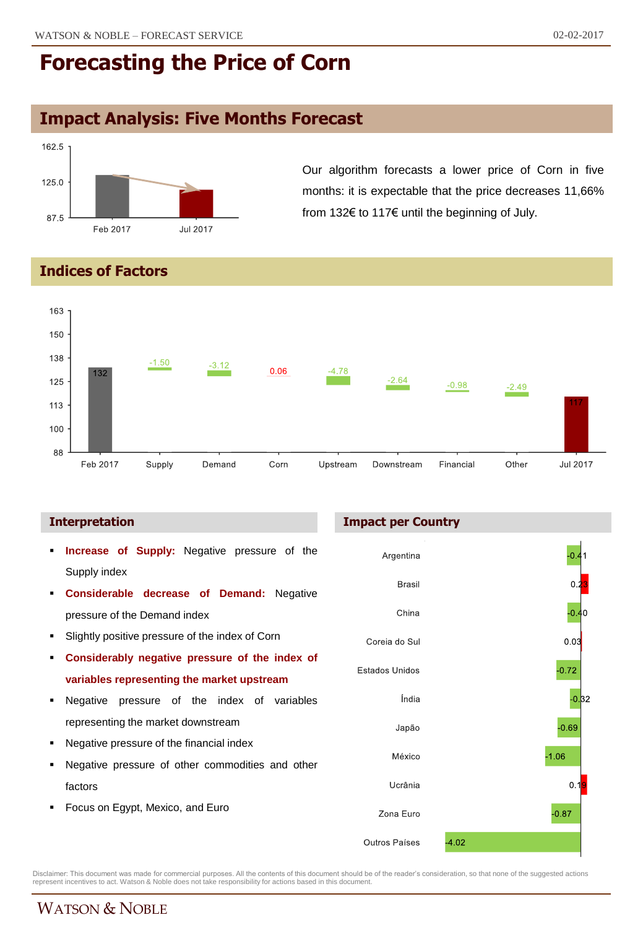## **Impact Analysis: Five Months Forecast**



Our algorithm forecasts a lower price of Corn in five months: it is expectable that the price decreases 11,66% from 132€ to 117€ until the beginning of July.

### **Indices of Factors**



- **Increase of Supply:** Negative pressure of the Supply index
- **Considerable decrease of Demand:** Negative pressure of the Demand index
- Slightly positive pressure of the index of Corn
- **Considerably negative pressure of the index of variables representing the market upstream**
- Negative pressure of the index of variables representing the market downstream
- Negative pressure of the financial index
- Negative pressure of other commodities and other factors
- Focus on Egypt, Mexico, and Euro

#### **Interpretation Impact per Country**



Disclaimer: This document was made for commercial purposes. All the contents of this document should be of the reader's consideration, so that none of the suggested actions<br>represent incentives to act. Watson & Noble does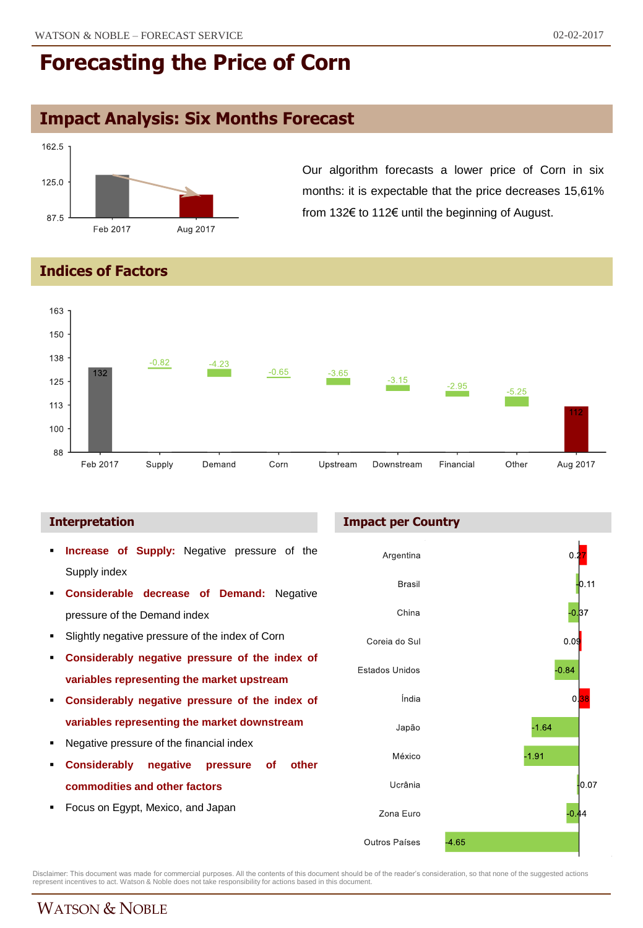## **Impact Analysis: Six Months Forecast**



Our algorithm forecasts a lower price of Corn in six months: it is expectable that the price decreases 15,61% from 132€ to 112€ until the beginning of August.

#### **Indices of Factors**



#### **Interpretation**

- **Increase of Supply:** Negative pressure of the Supply index
- **Considerable decrease of Demand:** Negative pressure of the Demand index
- Slightly negative pressure of the index of Corn
- **Considerably negative pressure of the index of variables representing the market upstream**
- **Considerably negative pressure of the index of variables representing the market downstream**
- Negative pressure of the financial index
- **Considerably negative pressure of other commodities and other factors**
- Focus on Egypt, Mexico, and Japan

#### **Impact per Country**



Disclaimer: This document was made for commercial purposes. All the contents of this document should be of the reader's consideration, so that none of the suggested actions<br>represent incentives to act. Watson & Noble does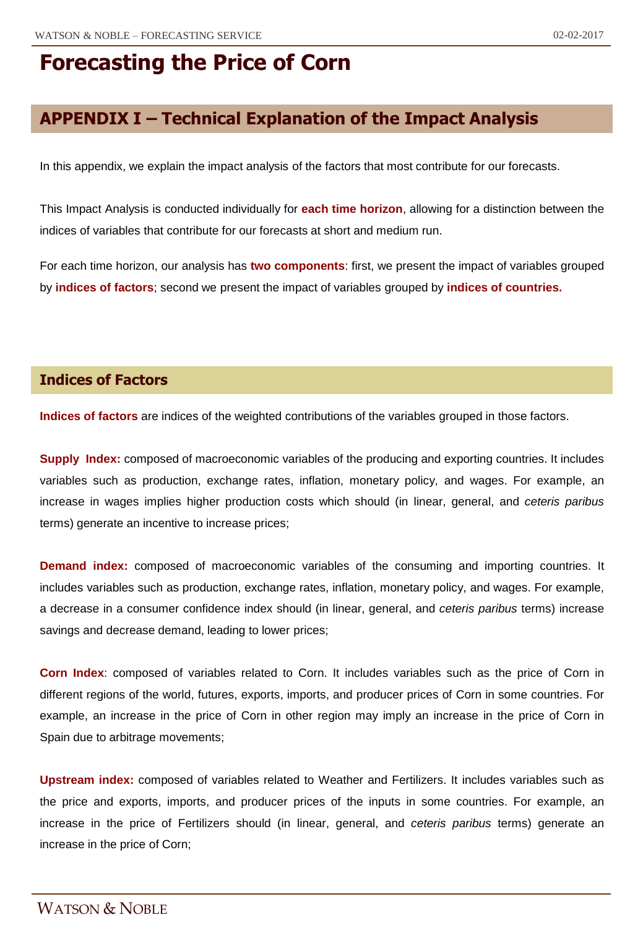## **APPENDIX I – Technical Explanation of the Impact Analysis**

In this appendix, we explain the impact analysis of the factors that most contribute for our forecasts.

This Impact Analysis is conducted individually for **each time horizon**, allowing for a distinction between the indices of variables that contribute for our forecasts at short and medium run.

For each time horizon, our analysis has **two components**: first, we present the impact of variables grouped by **indices of factors**; second we present the impact of variables grouped by **indices of countries.**

#### **Indices of Factors**

**Indices of factors** are indices of the weighted contributions of the variables grouped in those factors.

**Supply Index:** composed of macroeconomic variables of the producing and exporting countries. It includes variables such as production, exchange rates, inflation, monetary policy, and wages. For example, an increase in wages implies higher production costs which should (in linear, general, and *ceteris paribus* terms) generate an incentive to increase prices;

**Demand index:** composed of macroeconomic variables of the consuming and importing countries. It includes variables such as production, exchange rates, inflation, monetary policy, and wages. For example, a decrease in a consumer confidence index should (in linear, general, and *ceteris paribus* terms) increase savings and decrease demand, leading to lower prices;

**Corn Index**: composed of variables related to Corn. It includes variables such as the price of Corn in different regions of the world, futures, exports, imports, and producer prices of Corn in some countries. For example, an increase in the price of Corn in other region may imply an increase in the price of Corn in Spain due to arbitrage movements;

**Upstream index:** composed of variables related to Weather and Fertilizers. It includes variables such as the price and exports, imports, and producer prices of the inputs in some countries. For example, an increase in the price of Fertilizers should (in linear, general, and *ceteris paribus* terms) generate an increase in the price of Corn;